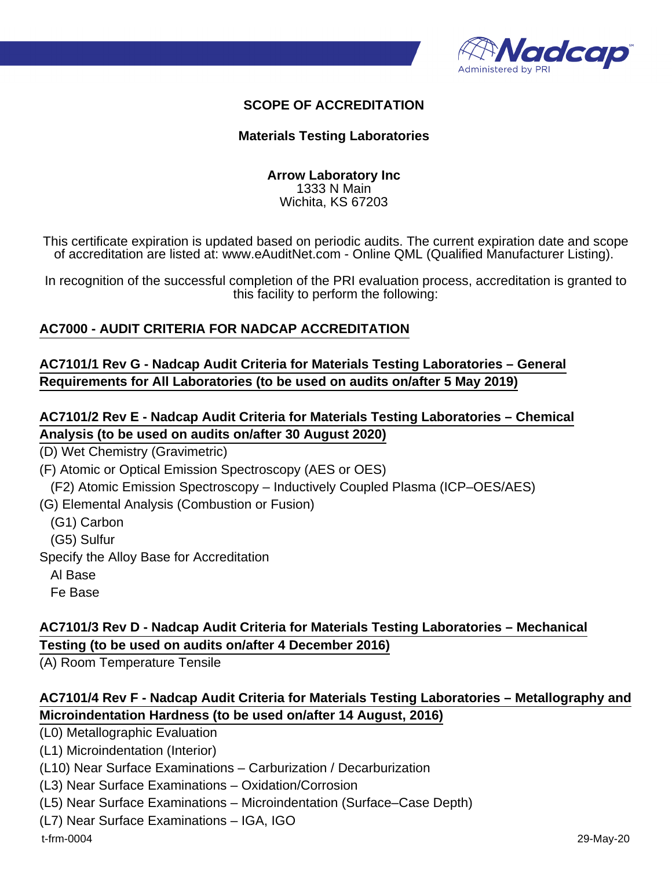

#### **SCOPE OF ACCREDITATION**

#### **Materials Testing Laboratories**

#### **Arrow Laboratory Inc** 1333 N Main Wichita, KS 67203

This certificate expiration is updated based on periodic audits. The current expiration date and scope of accreditation are listed at: www.eAuditNet.com - Online QML (Qualified Manufacturer Listing).

In recognition of the successful completion of the PRI evaluation process, accreditation is granted to this facility to perform the following:

#### **AC7000 - AUDIT CRITERIA FOR NADCAP ACCREDITATION**

#### **AC7101/1 Rev G - Nadcap Audit Criteria for Materials Testing Laboratories – General Requirements for All Laboratories (to be used on audits on/after 5 May 2019)**

### **AC7101/2 Rev E - Nadcap Audit Criteria for Materials Testing Laboratories – Chemical Analysis (to be used on audits on/after 30 August 2020)**

(D) Wet Chemistry (Gravimetric)

(F) Atomic or Optical Emission Spectroscopy (AES or OES)

(F2) Atomic Emission Spectroscopy – Inductively Coupled Plasma (ICP–OES/AES)

(G) Elemental Analysis (Combustion or Fusion)

(G1) Carbon

(G5) Sulfur

Specify the Alloy Base for Accreditation

Al Base

Fe Base

### **AC7101/3 Rev D - Nadcap Audit Criteria for Materials Testing Laboratories – Mechanical Testing (to be used on audits on/after 4 December 2016)**

(A) Room Temperature Tensile

### **AC7101/4 Rev F - Nadcap Audit Criteria for Materials Testing Laboratories – Metallography and Microindentation Hardness (to be used on/after 14 August, 2016)**

(L0) Metallographic Evaluation

(L1) Microindentation (Interior)

(L10) Near Surface Examinations – Carburization / Decarburization

(L3) Near Surface Examinations – Oxidation/Corrosion

(L5) Near Surface Examinations – Microindentation (Surface–Case Depth)

(L7) Near Surface Examinations – IGA, IGO